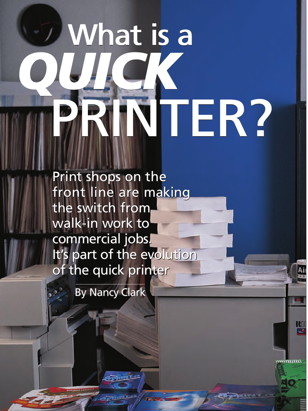# What is a What is a What is a *QUICK* PRINTER? PRINTER? PRINTER?*QUICK*

Print shops on the Print shops on the front line are making the switch from the switch from walk-in work to walk-in work to commercial jobs. commercial jobs. It's part of the evolution of the quick printer

KD

,,,,,,,,,,,,,

**By Nancy Clark**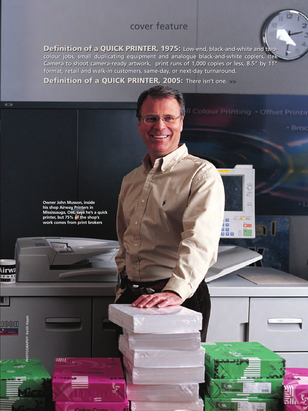**Definition of a QUICK PRINTER, 1975:** Low-end, black-and-white and two-**Definition of a QUICK PRINTER, 1975:** Low-end, black-and-white and twocolour jobs, small duplicating equipment and analogue black-and-white copiers, Itek colour jobs, small duplicating equipment and analogue black-and-white copiers, Itek Camera to shoot camera-ready artwork, print runs of 1,000 copies or less, 8.5" by 11" Camera to shoot camera-ready artwork, print runs of 1,000 copies or less, 8.5" by 11" format, retail and walk-in customers, same-day, or next-day turnaround. format, retail and walk-in customers, same-day, or next-day turnaround.

Il Colour Printing - Offset Printir

ö C

a

 $10-10-1$  m.

CHI

証 រធ

Æ.

\* Broc

**Definition of a QUICK PRINTER, 2005:** There isn't one. >> **Definition of a QUICK PRINTER, 2005:** There isn't one.



PHOTOGRAPHY: Keith Hayes

mm

**HOTOGRAPHY: Keith Hay** 

**\irwa** 'i n

IGOH

at to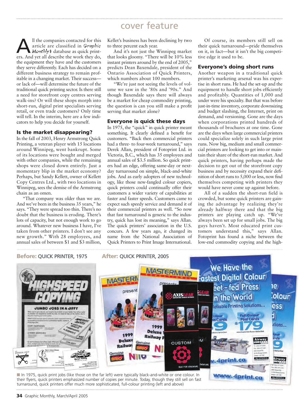All the companies contacted for this<br>
article are classified in *Graphic*<br>
Monthly **S** database as quick print-<br>
ers And yet all describe the work they do article are classified in Graphic ers. And yet all describe the work they do, the equipment they have and the customers they serve differently. Each has decided on a different business strategy to remain profitable in a changing market. Their success or lack of—will determine the future of the traditional quick printing sector. Is there still a need for storefront copy centres serving walk-ins? Or will these shops morph into short-run, digital print specialists serving retail, or even trade customers? Only time will tell. In the interim, here are a few indicators to help you decide for yourself.

#### **Is the market disappearing?**

In the fall of 2003, Henry Armstrong Quick Printing, a veteran player with 15 locations around Winnipeg, went bankrupt. Some of its locations were bought and merged with other companies, while the remaining shops were closed down entirely. Just a momentary blip in the market economy? Perhaps, but Sandy Kellett, owner of Kellett Copy Centres Ltd., with two locations in Winnipeg, sees the demise of the Armstrong chain as an omen.

"That company was older than we are. And we've been in the business 35 years," he says. "They were spread too thin. There's no doubt that the business is eroding. There's lots of capacity, but not enough work to go around. Whatever new business I have, I've taken from other printers. I don't see any new growth." With 28 employees, and annual sales of between \$1 and \$3 million,

Kellet's business has been declining by two to three percent each year.

And it's not just the Winnipeg market that looks gloomy. "There will be 10% less instant printers around by the end of 2005," predicts Dean Baxendale, president of the Ontario Association of Quick Printers, which numbers about 100 members.

"We're just not seeing the levels of volume we saw in the '80s and '90s." And though Baxendale says there will always be a market for cheap commodity printing, the question is can you still make a profit serving that market alone?

#### **Everyone is quick these days**

In 1975, the "quick" in quick printer meant something. It clearly defined a benefit for customers. "Back then commercial printers had a three- to four-week turnaround," says Derek Allan, president of Fotoprint Ltd. in Victoria, B.C., which has 35 employees and annual sales of \$3.5 million. So quick printers had an edge, offering same-day or nextday turnaround on simple, black-and-white jobs. And as early adopters of new technology, like those new-fangled colour copiers, quick printers could continually offer their customers a wider variety of capabilities at faster and faster speeds. Customers came to expect such speedy service and demand it of their commercial printers as well. "So now that fast turnaround is generic to the industry, quick has lost its meaning," says Allan. The quick printers' association in the U.S. concurs. A few years ago, it changed its name from the National Association of Quick Printers to Print Image International.

Of course, its members still sell on their quick turnaround—pride themselves on it, in fact—but it isn't the big competitive edge it used to be.

#### **Everyone's doing short runs**

Another weapon in a traditional quick printer's marketing arsenal was his expertise in short runs. He had the set-up and the equipment to handle short jobs efficiently and profitably. Quantities of 1,000 and under were his specialty. But that was before just-in-time inventory, corporate downsizing and budget slashing, the Internet, print on demand, and versioning. Gone are the days when corporations printed hundreds of thousands of brochures at one time. Gone are the days when large commercial printers could specialize solely in such large print runs. Now big, medium and small commercial printers are looking to get into or maintain their share of the short-run market. And quick printers, having perhaps made the decision to get out of the storefront copy business and by necessity expand their definition of short runs to 5,000 or less, now find themselves competing with printers they would have never come up against before.

All of a sudden the short-run field is crowded, but some quick printers are gaining the advantage by realizing they're already halfway there and that the big printers are playing catch up. "We've always been set up for small jobs. The big guys haven't. Most educated print customers understand this," says Allan. Fotoprint has found a niche between the low-end commodity copying and the high-



**34** Graphic Monthly, March/April 2005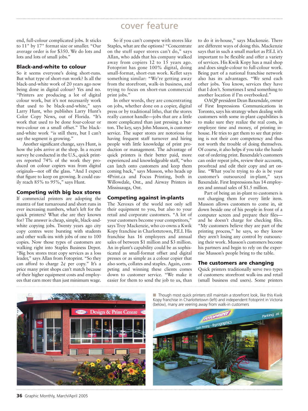end, full-colour complicated jobs. It sticks to 11" by 17" format size or smaller. "Our average order is for \$350. We do lots and lots and lots of small jobs."

#### **Black-and-white to colour**

So it seems everyone's doing short-runs. But what type of short-run work? Is all the black-and-white work of 20 years ago now being done in digital colour? Yes and no. "Printers are producing a lot of digital colour work, but it's not necessarily work that used to be black-and-white," says Larry Hunt, who publishes Larry Hunt's Color Copy News, out of Florida. "It's work that used to be done four-colour or two-colour on a small offset." The blackand-white work "is still there, but I can't say the segment is growing."

Another significant change, says Hunt, is how the jobs arrive at the shop. In a recent survey he conducted in the U.S., quick printers reported 74% of the work they produced on colour copiers was from digital originals—not off the glass. "And I expect that figure to keep on growing. It could easily reach 85% to 95%," says Hunt.

#### **Competing with big box stores**

If commercial printers are adopting the mantra of fast turnaround and short runs in ever increasing numbers, what's left for the quick printers? What else are they known for? The answer is cheap, simple, black-andwhite copying jobs. Twenty years ago city copy centres were bursting with students and other walk-ins with jobs of one to 100 copies. Now those types of customers are walking right into Staples Business Depot. "Big box stores treat copy services as a loss leader," says Allan from Fotoprint. "So they can afford to charge  $2¢$  per copy." It's a price many print shops can't match because of their higher equipment costs and employees that earn more than just minimum wage.

So if you can't compete with stores like Staples, what are the options? "Concentrate on the stuff super stores can't do," says Allan, who adds that his company walked away from copiers 12 to  $15$  years ago. Fotoprint has gone 100% digital, doing small-format, short-run work. Kellet says something similar: "We're getting away from the storefront, walk-in business, and trying to focus on short-run commercial print jobs."

In other words, they are concentrating on jobs, whether done on a copier, digital press or by traditional litho, that the stores really cannot handle—jobs that are a little more complicated than just pressing a button. The key, says John Musson, is customer service. The super stores are notorious for having frequent staff turnover and hiring people with little knowledge of print production or management. The advantage of quick printers is their better paid, more experienced and knowledgeable staff, "who can latch onto customers and keep them coming back," says Musson, who heads up 4Print.ca and Focus Printing, both in Willowdale, Ont., and Airway Printers in Mississauga, Ont.

#### **Competing against in-plants**

The Xeroxes of the world not only sell their equipment to you, but also to your retail and corporate customers. "A lot of your customers become your competitors," says Troy Mackenzie, who co-owns a Kwik Kopy franchise in Charlottetown, P.E.I. His franchise has 16 employees and annual sales of between \$1 million and \$3 million. An in-plant's capability could be as sophisticated as small-format offset and digital presses or as simple as a colour copier that also sorts, collates and staples. Again, competing and winning these clients comes down to customer service. "We make it easier for them to send the job to us, than

to do it in-house," says Mackenzie. There are different ways of doing this. Mackenzie says that in such a small market as P.E.I. it's important to be flexible and offer a variety of services. His Kwik Kopy has a mail shop and does single-colour to full-colour work. Being part of a national franchise network also has its advantages. "We send each other jobs. You know, services they have that I don't. Sometimes I send something to another location if I'm overbooked."

OAQP president Dean Baxendale, owner of First Impressions Communications in Toronto, says his strategy when dealing with customers with some in-plant capabilities is to make sure they realize the real costs, in employee time and money, of printing inhouse. He tries to get them to see that printing is not their core competency and thus not worth the trouble of doing themselves. Of course, it also helps if you take the hassle out of ordering print. Baxendale's customers can order repeat jobs, review their accounts, proofread and edit their copy and art online. "What you're trying to do is be your customer's outsourced in-plant," says Baxendale. First Impressions has 14 employees and annual sales of \$1.5 million.

Part of being an in-plant to customers is not charging them for every little item. Musson allows customers to come in, sit down beside one of his people in front of a computer screen and prepare their files and he doesn't charge for checking files. "My customers believe they are part of the printing process," he says, so they know they aren't losing any control by outsourcing their work. Musson's customers become his partners and begin to rely on the expertise Musson's people bring to the table.

#### **The customers are changing**

Quick printers traditionally serve two types of customers: storefront walk-ins and retail (small business end users). Some printers



■ **Though most quick printers still maintain a storefront look, like this Kwik** Kopy franchise in Charlottetown (left) and independent Fotoprint in Victoria (below), many are veering away from walk-in customers